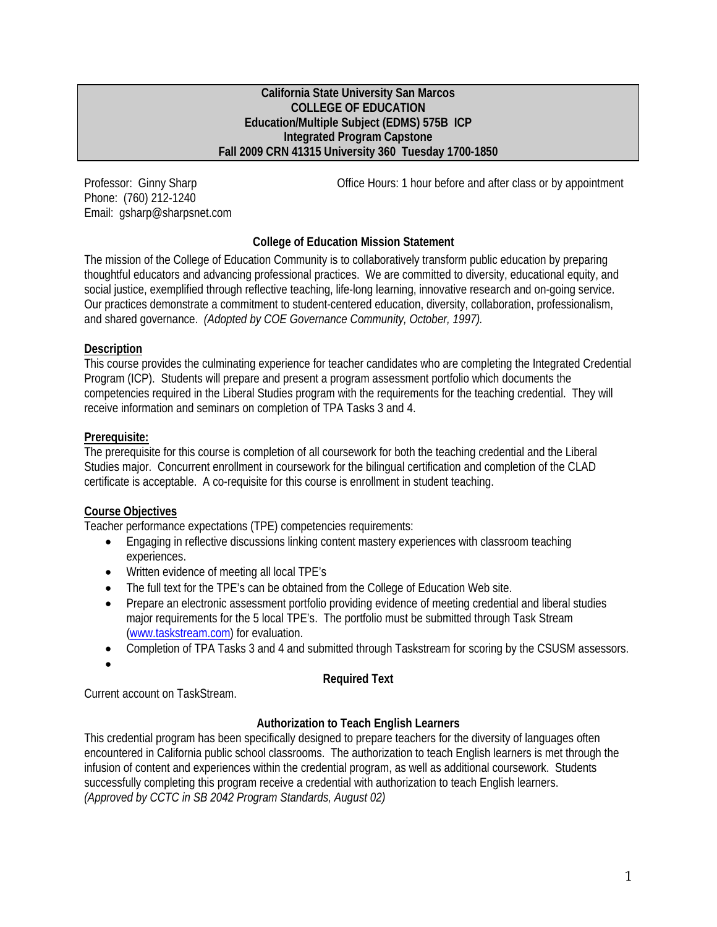#### **California State University San Marcos COLLEGE OF EDUCATION Education/Multiple Subject (EDMS) 575B ICP Integrated Program Capstone Fall 2009 CRN 41315 University 360 Tuesday 1700-1850**

Phone: (760) 212-1240 Email: gsharp@sharpsnet.com

Professor: Ginny Sharp **Communist Communist Communist Communist Communist Communist Communist Communist Communist Communist Communist Communist Communist Communist Communist Communist Communist Communist Communist Communis** 

# **College of Education Mission Statement**

The mission of the College of Education Community is to collaboratively transform public education by preparing thoughtful educators and advancing professional practices. We are committed to diversity, educational equity, and social justice, exemplified through reflective teaching, life-long learning, innovative research and on-going service. Our practices demonstrate a commitment to student-centered education, diversity, collaboration, professionalism, and shared governance. *(Adopted by COE Governance Community, October, 1997).* 

## **Description**

This course provides the culminating experience for teacher candidates who are completing the Integrated Credential Program (ICP). Students will prepare and present a program assessment portfolio which documents the competencies required in the Liberal Studies program with the requirements for the teaching credential. They will receive information and seminars on completion of TPA Tasks 3 and 4.

## **Prerequisite:**

The prerequisite for this course is completion of all coursework for both the teaching credential and the Liberal Studies major. Concurrent enrollment in coursework for the bilingual certification and completion of the CLAD certificate is acceptable. A co-requisite for this course is enrollment in student teaching.

## **Course Objectives**

Teacher performance expectations (TPE) competencies requirements:

- Engaging in reflective discussions linking content mastery experiences with classroom teaching experiences.
- Written evidence of meeting all local TPE's
- The full text for the TPE's can be obtained from the College of Education Web site.
- Prepare an electronic assessment portfolio providing evidence of meeting credential and liberal studies major requirements for the 5 local TPE's. The portfolio must be submitted through Task Stream (www.taskstream.com) for evaluation.
- Completion of TPA Tasks 3 and 4 and submitted through Taskstream for scoring by the CSUSM assessors.
- •

## **Required Text**

Current account on TaskStream.

## **Authorization to Teach English Learners**

This credential program has been specifically designed to prepare teachers for the diversity of languages often encountered in California public school classrooms. The authorization to teach English learners is met through the infusion of content and experiences within the credential program, as well as additional coursework. Students successfully completing this program receive a credential with authorization to teach English learners. *(Approved by CCTC in SB 2042 Program Standards, August 02)*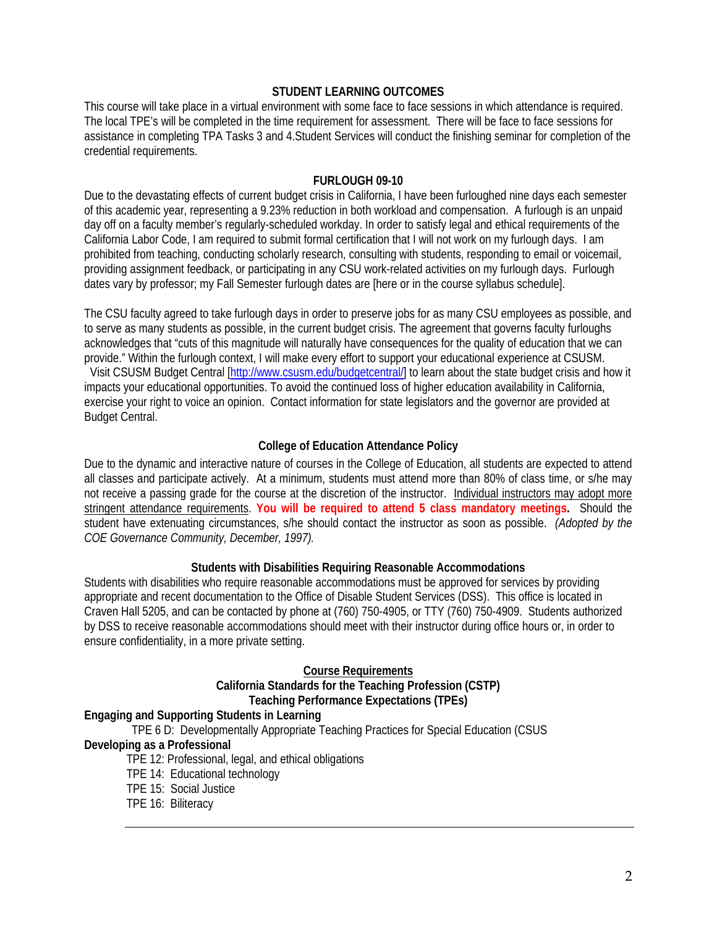### **STUDENT LEARNING OUTCOMES**

This course will take place in a virtual environment with some face to face sessions in which attendance is required. The local TPE's will be completed in the time requirement for assessment. There will be face to face sessions for assistance in completing TPA Tasks 3 and 4.Student Services will conduct the finishing seminar for completion of the credential requirements.

#### **FURLOUGH 09-10**

 of this academic year, representing a 9.23% reduction in both workload and compensation. A furlough is an unpaid Due to the devastating effects of current budget crisis in California, I have been furloughed nine days each semester day off on a faculty member's regularly-scheduled workday. In order to satisfy legal and ethical requirements of the California Labor Code, I am required to submit formal certification that I will not work on my furlough days. I am prohibited from teaching, conducting scholarly research, consulting with students, responding to email or voicemail, providing assignment feedback, or participating in any CSU work-related activities on my furlough days. Furlough dates vary by professor; my Fall Semester furlough dates are [here or in the course syllabus schedule].

The CSU faculty agreed to take furlough days in order to preserve jobs for as many CSU employees as possible, and to serve as many students as possible, in the current budget crisis. The agreement that governs faculty furloughs acknowledges that "cuts of this magnitude will naturally have consequences for the quality of education that we can provide." Within the furlough context, I will make every effort to support your educational experience at CSUSM. Visit CSUSM Budget Central [http://www.csusm.edu/budgetcentral/] to learn about the state budget crisis and how it impacts your educational opportunities. To avoid the continued loss of higher education availability in California, exercise your right to voice an opinion. Contact information for state legislators and the governor are provided at Budget Central.

## **College of Education Attendance Policy**

 all classes and participate actively. At a minimum, students must attend more than 80% of class time, or s/he may *COE Governance Community, December, 1997).* Due to the dynamic and interactive nature of courses in the College of Education, all students are expected to attend not receive a passing grade for the course at the discretion of the instructor. Individual instructors may adopt more stringent attendance requirements. **You will be required to attend 5 class mandatory meetings.** Should the student have extenuating circumstances, s/he should contact the instructor as soon as possible. *(Adopted by the* 

## **Students with Disabilities Requiring Reasonable Accommodations**

Students with disabilities who require reasonable accommodations must be approved for services by providing appropriate and recent documentation to the Office of Disable Student Services (DSS). This office is located in Craven Hall 5205, and can be contacted by phone at (760) 750-4905, or TTY (760) 750-4909. Students authorized by DSS to receive reasonable accommodations should meet with their instructor during office hours or, in order to ensure confidentiality, in a more private setting.

#### **Course Requirements**

### **California Standards for the Teaching Profession (CSTP) Teaching Performance Expectations (TPEs)**

## **Engaging and Supporting Students in Learning**

TPE 6 D: Developmentally Appropriate Teaching Practices for Special Education (CSUS

#### **Developing as a Professional**

- TPE 12: Professional, legal, and ethical obligations
- TPE 14: Educational technology
- TPE 15: Social Justice
- TPE 16: Biliteracy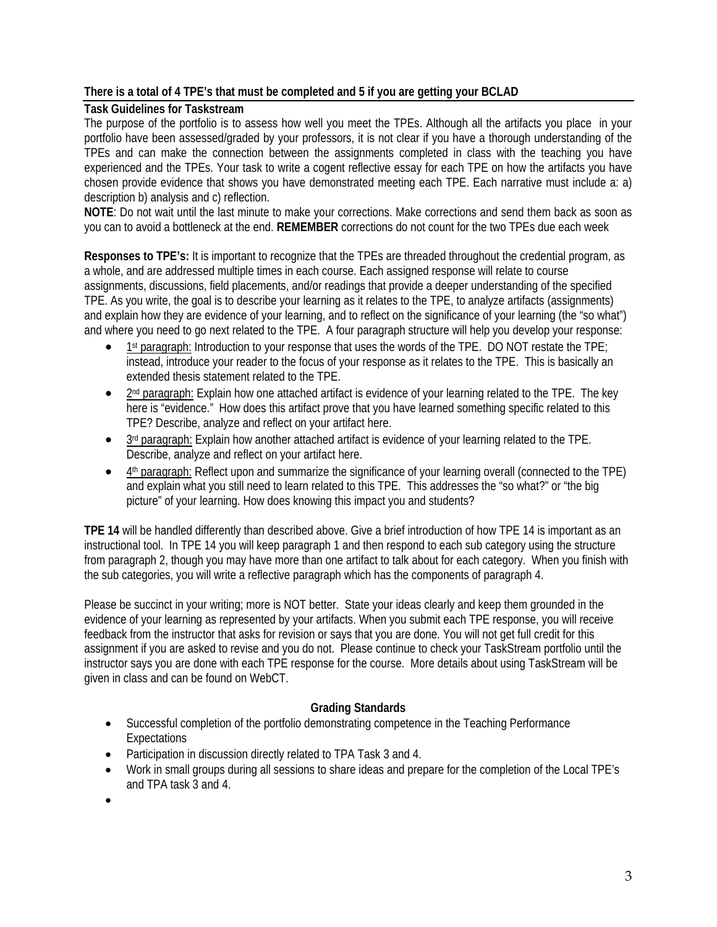# **There is a total of 4 TPE's that must be completed and 5 if you are getting your BCLAD**

## **Task Guidelines for Taskstream**

 chosen provide evidence that shows you have demonstrated meeting each TPE. Each narrative must include a: a) The purpose of the portfolio is to assess how well you meet the TPEs. Although all the artifacts you place in your portfolio have been assessed/graded by your professors, it is not clear if you have a thorough understanding of the TPEs and can make the connection between the assignments completed in class with the teaching you have experienced and the TPEs. Your task to write a cogent reflective essay for each TPE on how the artifacts you have description b) analysis and c) reflection.

**NOTE**: Do not wait until the last minute to make your corrections. Make corrections and send them back as soon as you can to avoid a bottleneck at the end. **REMEMBER** corrections do not count for the two TPEs due each week

**Responses to TPE's:** It is important to recognize that the TPEs are threaded throughout the credential program, as a whole, and are addressed multiple times in each course. Each assigned response will relate to course assignments, discussions, field placements, and/or readings that provide a deeper understanding of the specified TPE. As you write, the goal is to describe your learning as it relates to the TPE, to analyze artifacts (assignments) and explain how they are evidence of your learning, and to reflect on the significance of your learning (the "so what") and where you need to go next related to the TPE. A four paragraph structure will help you develop your response:

- 1st paragraph: Introduction to your response that uses the words of the TPE. DO NOT restate the TPE; instead, introduce your reader to the focus of your response as it relates to the TPE. This is basically an extended thesis statement related to the TPE.
- $\bullet$  2<sup>nd</sup> paragraph: Explain how one attached artifact is evidence of your learning related to the TPE. The key here is "evidence." How does this artifact prove that you have learned something specific related to this TPE? Describe, analyze and reflect on your artifact here.
- 3<sup>rd</sup> paragraph: Explain how another attached artifact is evidence of your learning related to the TPE. Describe, analyze and reflect on your artifact here.
- 4<sup>th</sup> paragraph: Reflect upon and summarize the significance of your learning overall (connected to the TPE) and explain what you still need to learn related to this TPE. This addresses the "so what?" or "the big picture" of your learning. How does knowing this impact you and students?

 **TPE 14** will be handled differently than described above. Give a brief introduction of how TPE 14 is important as an instructional tool. In TPE 14 you will keep paragraph 1 and then respond to each sub category using the structure from paragraph 2, though you may have more than one artifact to talk about for each category. When you finish with the sub categories, you will write a reflective paragraph which has the components of paragraph 4.

Please be succinct in your writing; more is NOT better. State your ideas clearly and keep them grounded in the evidence of your learning as represented by your artifacts. When you submit each TPE response, you will receive feedback from the instructor that asks for revision or says that you are done. You will not get full credit for this assignment if you are asked to revise and you do not. Please continue to check your TaskStream portfolio until the instructor says you are done with each TPE response for the course. More details about using TaskStream will be given in class and can be found on WebCT.

# **Grading Standards**

- Successful completion of the portfolio demonstrating competence in the Teaching Performance **Expectations**
- Participation in discussion directly related to TPA Task 3 and 4.
- • Work in small groups during all sessions to share ideas and prepare for the completion of the Local TPE's and TPA task 3 and 4.
- •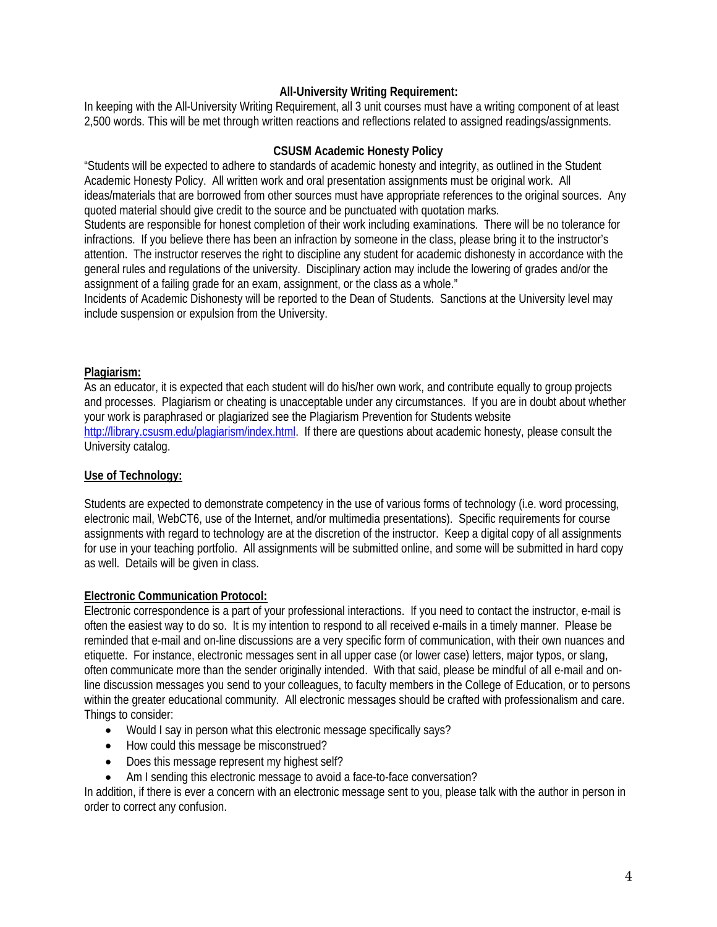## **All-University Writing Requirement:**

 2,500 words. This will be met through written reactions and reflections related to assigned readings/assignments. In keeping with the All-University Writing Requirement, all 3 unit courses must have a writing component of at least

#### **CSUSM Academic Honesty Policy**

"Students will be expected to adhere to standards of academic honesty and integrity, as outlined in the Student Academic Honesty Policy. All written work and oral presentation assignments must be original work. All ideas/materials that are borrowed from other sources must have appropriate references to the original sources. Any quoted material should give credit to the source and be punctuated with quotation marks.

Students are responsible for honest completion of their work including examinations. There will be no tolerance for infractions. If you believe there has been an infraction by someone in the class, please bring it to the instructor's attention. The instructor reserves the right to discipline any student for academic dishonesty in accordance with the general rules and regulations of the university. Disciplinary action may include the lowering of grades and/or the assignment of a failing grade for an exam, assignment, or the class as a whole."

Incidents of Academic Dishonesty will be reported to the Dean of Students. Sanctions at the University level may include suspension or expulsion from the University.

#### **Plagiarism:**

As an educator, it is expected that each student will do his/her own work, and contribute equally to group projects and processes. Plagiarism or cheating is unacceptable under any circumstances. If you are in doubt about whether your work is paraphrased or plagiarized see the Plagiarism Prevention for Students website http://library.csusm.edu/plagiarism/index.html. If there are questions about academic honesty, please consult the University catalog.

#### **Use of Technology:**

Students are expected to demonstrate competency in the use of various forms of technology (i.e. word processing, electronic mail, WebCT6, use of the Internet, and/or multimedia presentations). Specific requirements for course assignments with regard to technology are at the discretion of the instructor. Keep a digital copy of all assignments for use in your teaching portfolio. All assignments will be submitted online, and some will be submitted in hard copy as well. Details will be given in class.

#### **Electronic Communication Protocol:**

Electronic correspondence is a part of your professional interactions. If you need to contact the instructor, e-mail is often the easiest way to do so. It is my intention to respond to all received e-mails in a timely manner. Please be reminded that e-mail and on-line discussions are a very specific form of communication, with their own nuances and etiquette. For instance, electronic messages sent in all upper case (or lower case) letters, major typos, or slang, often communicate more than the sender originally intended. With that said, please be mindful of all e-mail and online discussion messages you send to your colleagues, to faculty members in the College of Education, or to persons within the greater educational community. All electronic messages should be crafted with professionalism and care. Things to consider:

- Would I say in person what this electronic message specifically says?
- How could this message be misconstrued?
- Does this message represent my highest self?
- Am I sending this electronic message to avoid a face-to-face conversation?

In addition, if there is ever a concern with an electronic message sent to you, please talk with the author in person in order to correct any confusion.